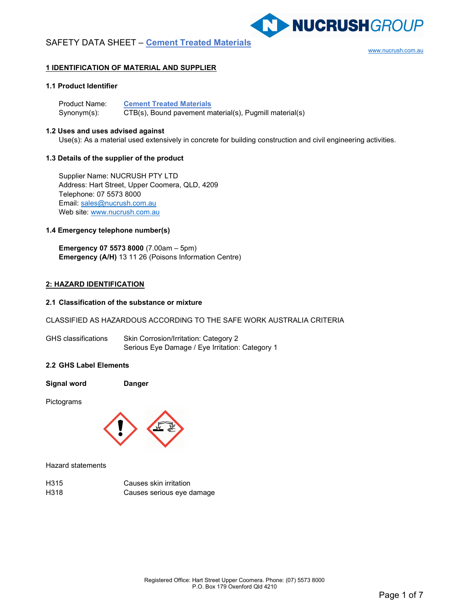www.nucrush.com.au

NUCRUSHGROUP

# 1 IDENTIFICATION OF MATERIAL AND SUPPLIER

# 1.1 Product Identifier

Product Name: Cement Treated Materials Synonym(s): CTB(s), Bound pavement material(s), Pugmill material(s)

### 1.2 Uses and uses advised against

Use(s): As a material used extensively in concrete for building construction and civil engineering activities.

### 1.3 Details of the supplier of the product

Supplier Name: NUCRUSH PTY LTD Address: Hart Street, Upper Coomera, QLD, 4209 Telephone: 07 5573 8000 Email: sales@nucrush.com.au Web site: www.nucrush.com.au

### 1.4 Emergency telephone number(s)

Emergency 07 5573 8000 (7.00am – 5pm) Emergency (A/H) 13 11 26 (Poisons Information Centre)

### 2: HAZARD IDENTIFICATION

### 2.1 Classification of the substance or mixture

# CLASSIFIED AS HAZARDOUS ACCORDING TO THE SAFE WORK AUSTRALIA CRITERIA

| <b>GHS</b> classifications | Skin Corrosion/Irritation: Category 2           |  |  |
|----------------------------|-------------------------------------------------|--|--|
|                            | Serious Eye Damage / Eye Irritation: Category 1 |  |  |

# 2.2 GHS Label Elements

Pictograms



Hazard statements

| H <sub>3</sub> 15 | Causes skin irritation    |
|-------------------|---------------------------|
| H318              | Causes serious eye damage |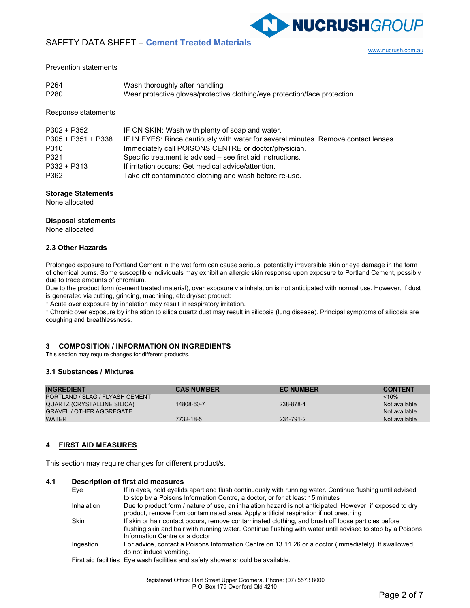www.nucrush.com.au

NUCRUSHGROUP

### Prevention statements

| P <sub>264</sub> | Wash thoroughly after handling                                            |
|------------------|---------------------------------------------------------------------------|
| P <sub>280</sub> | Wear protective gloves/protective clothing/eye protection/face protection |

Response statements

| P302 + P352          | IF ON SKIN: Wash with plenty of soap and water.                                     |
|----------------------|-------------------------------------------------------------------------------------|
| $P305 + P351 + P338$ | IF IN EYES: Rince cautiously with water for several minutes. Remove contact lenses. |
| P310                 | Immediately call POISONS CENTRE or doctor/physician.                                |
| P321                 | Specific treatment is advised – see first aid instructions.                         |
| $P332 + P313$        | If irritation occurs: Get medical advice/attention.                                 |
| P362                 | Take off contaminated clothing and wash before re-use.                              |

# Storage Statements

None allocated

### Disposal statements

None allocated

### 2.3 Other Hazards

Prolonged exposure to Portland Cement in the wet form can cause serious, potentially irreversible skin or eye damage in the form of chemical burns. Some susceptible individuals may exhibit an allergic skin response upon exposure to Portland Cement, possibly due to trace amounts of chromium.

Due to the product form (cement treated material), over exposure via inhalation is not anticipated with normal use. However, if dust is generated via cutting, grinding, machining, etc dry/set product:

\* Acute over exposure by inhalation may result in respiratory irritation.

\* Chronic over exposure by inhalation to silica quartz dust may result in silicosis (lung disease). Principal symptoms of silicosis are coughing and breathlessness.

### 3 COMPOSITION / INFORMATION ON INGREDIENTS

This section may require changes for different product/s.

# 3.1 Substances / Mixtures

| <b>INGREDIENT</b>               | <b>CAS NUMBER</b> | <b>EC NUMBER</b> | <b>CONTENT</b> |
|---------------------------------|-------------------|------------------|----------------|
| PORTLAND / SLAG / FLYASH CEMENT |                   |                  | $~10\%$        |
| QUARTZ (CRYSTALLINE SILICA)     | 14808-60-7        | 238-878-4        | Not available  |
| <b>GRAVEL / OTHER AGGREGATE</b> |                   |                  | Not available  |
| <b>WATER</b>                    | 7732-18-5         | 231-791-2        | Not available  |

# 4 FIRST AID MEASURES

This section may require changes for different product/s.

### 4.1 Description of first aid measures

| Eye         | If in eyes, hold eyelids apart and flush continuously with running water. Continue flushing until advised<br>to stop by a Poisons Information Centre, a doctor, or for at least 15 minutes                                                         |
|-------------|----------------------------------------------------------------------------------------------------------------------------------------------------------------------------------------------------------------------------------------------------|
| Inhalation  | Due to product form / nature of use, an inhalation hazard is not anticipated. However, if exposed to dry<br>product, remove from contaminated area. Apply artificial respiration if not breathing                                                  |
| <b>Skin</b> | If skin or hair contact occurs, remove contaminated clothing, and brush off loose particles before<br>flushing skin and hair with running water. Continue flushing with water until advised to stop by a Poisons<br>Information Centre or a doctor |
| Ingestion   | For advice, contact a Poisons Information Centre on 13 11 26 or a doctor (immediately). If swallowed,<br>do not induce vomiting.                                                                                                                   |
|             | First aid facilities. Eve wash facilities and safety shower should be available                                                                                                                                                                    |

sh facilities and safety shower should be avail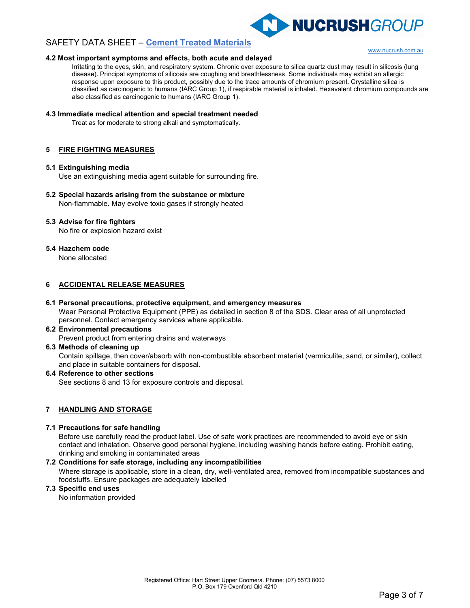

### 4.2 Most important symptoms and effects, both acute and delayed

www.nucrush.com.au

Irritating to the eyes, skin, and respiratory system. Chronic over exposure to silica quartz dust may result in silicosis (lung disease). Principal symptoms of silicosis are coughing and breathlessness. Some individuals may exhibit an allergic response upon exposure to this product, possibly due to the trace amounts of chromium present. Crystalline silica is classified as carcinogenic to humans (IARC Group 1), if respirable material is inhaled. Hexavalent chromium compounds are also classified as carcinogenic to humans (IARC Group 1).

# 4.3 Immediate medical attention and special treatment needed

Treat as for moderate to strong alkali and symptomatically.

# 5 FIRE FIGHTING MEASURES

### 5.1 Extinguishing media

Use an extinguishing media agent suitable for surrounding fire.

# 5.2 Special hazards arising from the substance or mixture

Non-flammable. May evolve toxic gases if strongly heated

# 5.3 Advise for fire fighters

No fire or explosion hazard exist

### 5.4 Hazchem code

None allocated

# 6 ACCIDENTAL RELEASE MEASURES

# 6.1 Personal precautions, protective equipment, and emergency measures

Wear Personal Protective Equipment (PPE) as detailed in section 8 of the SDS. Clear area of all unprotected personnel. Contact emergency services where applicable.

# 6.2 Environmental precautions

Prevent product from entering drains and waterways

### 6.3 Methods of cleaning up

Contain spillage, then cover/absorb with non-combustible absorbent material (vermiculite, sand, or similar), collect and place in suitable containers for disposal.

### 6.4 Reference to other sections

See sections 8 and 13 for exposure controls and disposal.

# 7 HANDLING AND STORAGE

### 7.1 Precautions for safe handling

Before use carefully read the product label. Use of safe work practices are recommended to avoid eye or skin contact and inhalation. Observe good personal hygiene, including washing hands before eating. Prohibit eating, drinking and smoking in contaminated areas

### 7.2 Conditions for safe storage, including any incompatibilities

Where storage is applicable, store in a clean, dry, well-ventilated area, removed from incompatible substances and foodstuffs. Ensure packages are adequately labelled

### 7.3 Specific end uses

No information provided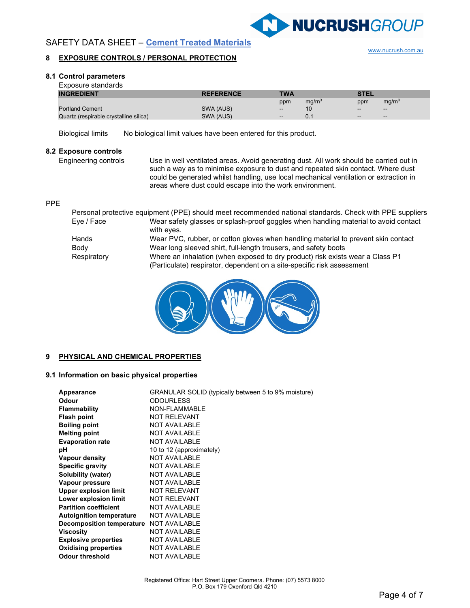

www.nucrush.com.au

# **SAFETY DATA SHEET - Cement Treated Materials**

# 8 EXPOSURE CONTROLS / PERSONAL PROTECTION

### 8.1 Control parameters

| Exposure standards                     |                  |                   |                   |             |                          |
|----------------------------------------|------------------|-------------------|-------------------|-------------|--------------------------|
| <b>INGREDIENT</b>                      | <b>REFERENCE</b> | TWA               |                   | <b>STEL</b> |                          |
|                                        |                  | ppm               | mg/m <sup>3</sup> | ppm         | mg/m <sup>3</sup>        |
| <b>Portland Cement</b>                 | SWA (AUS)        | $\sim$            | 10                | $\sim$      | $\overline{\phantom{a}}$ |
| Quartz (respirable crystalline silica) | SWA (AUS)        | $\hspace{0.05cm}$ | 0.1               | $\sim$      | $\overline{\phantom{m}}$ |

Biological limits No biological limit values have been entered for this product.

# 8.2 Exposure controls

Engineering controls Use in well ventilated areas. Avoid generating dust. All work should be carried out in such a way as to minimise exposure to dust and repeated skin contact. Where dust could be generated whilst handling, use local mechanical ventilation or extraction in areas where dust could escape into the work environment.

### PPE

|             | Personal protective equipment (PPE) should meet recommended national standards. Check with PPE suppliers                                                |
|-------------|---------------------------------------------------------------------------------------------------------------------------------------------------------|
| Eve / Face  | Wear safety glasses or splash-proof goggles when handling material to avoid contact<br>with eyes.                                                       |
| Hands       | Wear PVC, rubber, or cotton gloves when handling material to prevent skin contact                                                                       |
| Body        | Wear long sleeved shirt, full-length trousers, and safety boots                                                                                         |
| Respiratory | Where an inhalation (when exposed to dry product) risk exists wear a Class P1<br>(Particulate) respirator, dependent on a site-specific risk assessment |



### 9 PHYSICAL AND CHEMICAL PROPERTIES

# 9.1 Information on basic physical properties

| Appearance                       | GRANULAR SOLID (typically between 5 to 9% moisture) |
|----------------------------------|-----------------------------------------------------|
| Odour                            | <b>ODOURLESS</b>                                    |
| <b>Flammability</b>              | NON-FLAMMABLE                                       |
| <b>Flash point</b>               | <b>NOT RELEVANT</b>                                 |
| <b>Boiling point</b>             | <b>NOT AVAILABLE</b>                                |
| <b>Melting point</b>             | <b>NOT AVAILABLE</b>                                |
| <b>Evaporation rate</b>          | <b>NOT AVAILABLE</b>                                |
| рH                               | 10 to 12 (approximately)                            |
| Vapour density                   | <b>NOT AVAILABLE</b>                                |
| <b>Specific gravity</b>          | <b>NOT AVAILABLE</b>                                |
| Solubility (water)               | <b>NOT AVAILABLE</b>                                |
| Vapour pressure                  | <b>NOT AVAILABLE</b>                                |
| <b>Upper explosion limit</b>     | <b>NOT RELEVANT</b>                                 |
| Lower explosion limit            | <b>NOT RELEVANT</b>                                 |
| <b>Partition coefficient</b>     | <b>NOT AVAILABLE</b>                                |
| <b>Autoignition temperature</b>  | <b>NOT AVAILABLE</b>                                |
| <b>Decomposition temperature</b> | <b>NOT AVAILABLE</b>                                |
| <b>Viscosity</b>                 | <b>NOT AVAILABLE</b>                                |
| <b>Explosive properties</b>      | <b>NOT AVAILABLE</b>                                |
| <b>Oxidising properties</b>      | <b>NOT AVAILABLE</b>                                |
| <b>Odour threshold</b>           | <b>NOT AVAILABLE</b>                                |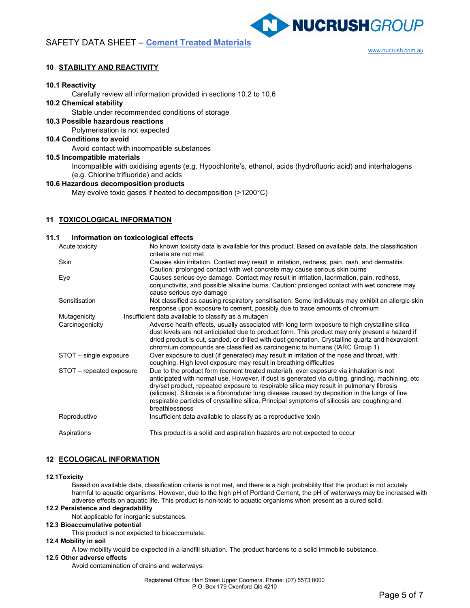www.nucrush.com.au

NUCRUSHGROUP

# 10 STABILITY AND REACTIVITY

### 10.1 Reactivity

Carefully review all information provided in sections 10.2 to 10.6

### 10.2 Chemical stability

Stable under recommended conditions of storage

10.3 Possible hazardous reactions

Polymerisation is not expected

# 10.4 Conditions to avoid

Avoid contact with incompatible substances

### 10.5 Incompatible materials

Incompatible with oxidising agents (e.g. Hypochlorite's, ethanol, acids (hydrofluoric acid) and interhalogens (e.g. Chlorine trifluoride) and acids

# 10.6 Hazardous decomposition products

May evolve toxic gases if heated to decomposition (>1200°C)

# 11 TOXICOLOGICAL INFORMATION

### 11.1 Information on toxicological effects

| Acute toxicity           | No known toxicity data is available for this product. Based on available data, the classification<br>criteria are not met                                                                                                                                                                                                                                                                                                                                                                                   |  |  |  |
|--------------------------|-------------------------------------------------------------------------------------------------------------------------------------------------------------------------------------------------------------------------------------------------------------------------------------------------------------------------------------------------------------------------------------------------------------------------------------------------------------------------------------------------------------|--|--|--|
| Skin                     | Causes skin irritation. Contact may result in irritation, redness, pain, rash, and dermatitis.                                                                                                                                                                                                                                                                                                                                                                                                              |  |  |  |
| Eye                      | Caution: prolonged contact with wet concrete may cause serious skin burns<br>Causes serious eye damage. Contact may result in irritation, lacrimation, pain, redness,<br>conjunctivitis, and possible alkaline burns. Caution: prolonged contact with wet concrete may<br>cause serious eye damage                                                                                                                                                                                                          |  |  |  |
| Sensitisation            | Not classified as causing respiratory sensitisation. Some individuals may exhibit an allergic skin<br>response upon exposure to cement, possibly due to trace amounts of chromium                                                                                                                                                                                                                                                                                                                           |  |  |  |
| Mutagenicity             | Insufficient data available to classify as a mutagen                                                                                                                                                                                                                                                                                                                                                                                                                                                        |  |  |  |
| Carcinogenicity          | Adverse health effects, usually associated with long term exposure to high crystalline silica<br>dust levels are not anticipated due to product form. This product may only present a hazard if<br>dried product is cut, sanded, or drilled with dust generation. Crystalline quartz and hexavalent<br>chromium compounds are classified as carcinogenic to humans (IARC Group 1).                                                                                                                          |  |  |  |
| STOT - single exposure   | Over exposure to dust (if generated) may result in irritation of the nose and throat, with<br>coughing. High level exposure may result in breathing difficulties                                                                                                                                                                                                                                                                                                                                            |  |  |  |
| STOT - repeated exposure | Due to the product form (cement treated material), over exposure via inhalation is not<br>anticipated with normal use. However, if dust is generated via cutting, grinding, machining, etc<br>dry/set product, repeated exposure to respirable silica may result in pulmonary fibrosis<br>(silicosis). Silicosis is a fibronodular lung disease caused by deposition in the lungs of fine<br>respirable particles of crystalline silica. Principal symptoms of silicosis are coughing and<br>breathlessness |  |  |  |
| Reproductive             | Insufficient data available to classify as a reproductive toxin                                                                                                                                                                                                                                                                                                                                                                                                                                             |  |  |  |
| Aspirations              | This product is a solid and aspiration hazards are not expected to occur                                                                                                                                                                                                                                                                                                                                                                                                                                    |  |  |  |

### 12 ECOLOGICAL INFORMATION

### 12.1 Toxicity

Based on available data, classification criteria is not met, and there is a high probability that the product is not acutely harmful to aquatic organisms. However, due to the high pH of Portland Cement, the pH of waterways may be increased with adverse effects on aquatic life. This product is non-toxic to aquatic organisms when present as a cured solid.

# 12.2 Persistence and degradability

Not applicable for inorganic substances.

### 12.3 Bioaccumulative potential

This product is not expected to bioaccumulate.

### 12.4 Mobility in soil

A low mobility would be expected in a landfill situation. The product hardens to a solid immobile substance.

### 12.5 Other adverse effects

Avoid contamination of drains and waterways.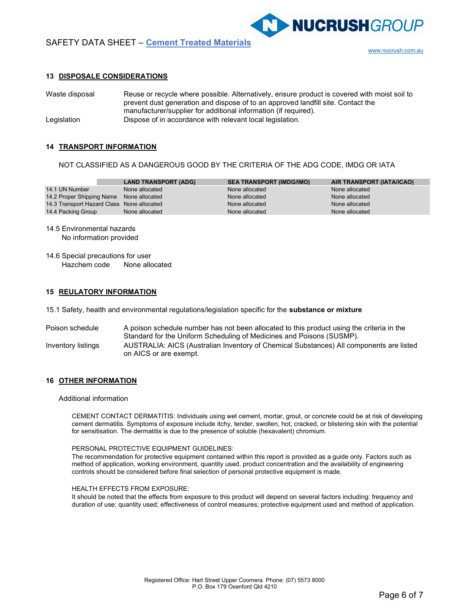

**NUCRUSHGROUP** 

### 13 DISPOSALE CONSIDERATIONS

Waste disposal Reuse or recycle where possible. Alternatively, ensure product is covered with moist soil to prevent dust generation and dispose of to an approved landfill site. Contact the manufacturer/supplier for additional information (if required). Legislation Dispose of in accordance with relevant local legislation.

### 14 TRANSPORT INFORMATION

NOT CLASSIFIED AS A DANGEROUS GOOD BY THE CRITERIA OF THE ADG CODE, IMDG OR IATA

|                                            | <b>LAND TRANSPORT (ADG)</b> | <b>SEA TRANSPORT (IMDG/IMO)</b> | AIR TRANSPORT (IATA/ICAO) |
|--------------------------------------------|-----------------------------|---------------------------------|---------------------------|
| 14.1 UN Number                             | None allocated              | None allocated                  | None allocated            |
| 14.2 Proper Shipping Name None allocated   |                             | None allocated                  | None allocated            |
| 14.3 Transport Hazard Class None allocated |                             | None allocated                  | None allocated            |
| 14.4 Packing Group                         | None allocated              | None allocated                  | None allocated            |

- 14.5 Environmental hazards No information provided
- 14.6 Special precautions for user Hazchem code None allocated

### 15 REULATORY INFORMATION

15.1 Safety, health and environmental regulations/legislation specific for the **substance or mixture** 

Poison schedule A poison schedule number has not been allocated to this product using the criteria in the Standard for the Uniform Scheduling of Medicines and Poisons (SUSMP). Inventory listings AUSTRALIA: AICS (Australian Inventory of Chemical Substances) All components are listed on AICS or are exempt.

### 16 OTHER INFORMATION

#### Additional information

CEMENT CONTACT DERMATITIS: Individuals using wet cement, mortar, grout, or concrete could be at risk of developing cement dermatitis. Symptoms of exposure include itchy, tender, swollen, hot, cracked, or blistering skin with the potential for sensitisation. The dermatitis is due to the presence of soluble (hexavalent) chromium.

#### PERSONAL PROTECTIVE EQUIPMENT GUIDELINES:

The recommendation for protective equipment contained within this report is provided as a guide only. Factors such as method of application, working environment, quantity used, product concentration and the availability of engineering controls should be considered before final selection of personal protective equipment is made.

#### HEALTH EFFECTS FROM EXPOSURE:

It should be noted that the effects from exposure to this product will depend on several factors including: frequency and duration of use; quantity used; effectiveness of control measures; protective equipment used and method of application.